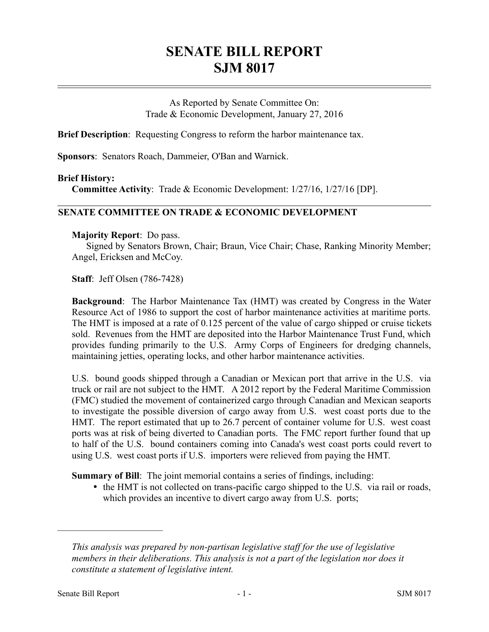# **SENATE BILL REPORT SJM 8017**

As Reported by Senate Committee On: Trade & Economic Development, January 27, 2016

**Brief Description**: Requesting Congress to reform the harbor maintenance tax.

**Sponsors**: Senators Roach, Dammeier, O'Ban and Warnick.

#### **Brief History:**

**Committee Activity**: Trade & Economic Development: 1/27/16, 1/27/16 [DP].

### **SENATE COMMITTEE ON TRADE & ECONOMIC DEVELOPMENT**

#### **Majority Report**: Do pass.

Signed by Senators Brown, Chair; Braun, Vice Chair; Chase, Ranking Minority Member; Angel, Ericksen and McCoy.

**Staff**: Jeff Olsen (786-7428)

**Background**: The Harbor Maintenance Tax (HMT) was created by Congress in the Water Resource Act of 1986 to support the cost of harbor maintenance activities at maritime ports. The HMT is imposed at a rate of 0.125 percent of the value of cargo shipped or cruise tickets sold. Revenues from the HMT are deposited into the Harbor Maintenance Trust Fund, which provides funding primarily to the U.S. Army Corps of Engineers for dredging channels, maintaining jetties, operating locks, and other harbor maintenance activities.

U.S. bound goods shipped through a Canadian or Mexican port that arrive in the U.S. via truck or rail are not subject to the HMT. A 2012 report by the Federal Maritime Commission (FMC) studied the movement of containerized cargo through Canadian and Mexican seaports to investigate the possible diversion of cargo away from U.S. west coast ports due to the HMT. The report estimated that up to 26.7 percent of container volume for U.S. west coast ports was at risk of being diverted to Canadian ports. The FMC report further found that up to half of the U.S. bound containers coming into Canada's west coast ports could revert to using U.S. west coast ports if U.S. importers were relieved from paying the HMT.

**Summary of Bill**: The joint memorial contains a series of findings, including:

• the HMT is not collected on trans-pacific cargo shipped to the U.S. via rail or roads, which provides an incentive to divert cargo away from U.S. ports;

––––––––––––––––––––––

*This analysis was prepared by non-partisan legislative staff for the use of legislative members in their deliberations. This analysis is not a part of the legislation nor does it constitute a statement of legislative intent.*